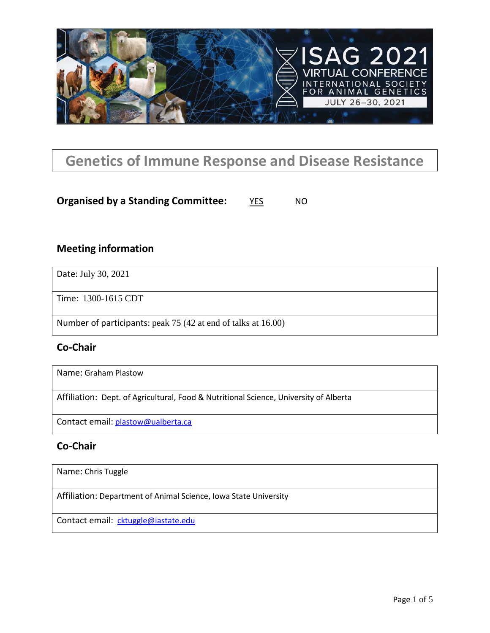

# **Genetics of Immune Response and Disease Resistance**

### **Organised by a Standing Committee:** YES NO

### **Meeting information**

Date: July 30, 2021

Time: 1300-1615 CDT

Number of participants: peak 75 (42 at end of talks at 16.00)

#### **Co-Chair**

Name: Graham Plastow

Affiliation: Dept. of Agricultural, Food & Nutritional Science, University of Alberta

Contact email: [plastow@ualberta.ca](mailto:plastow@ualberta.ca)

## **Co-Chair**

Name: Chris Tuggle

Affiliation: Department of Animal Science, Iowa State University

Contact email: [cktuggle@iastate.edu](mailto:cktuggle@iastate.edu)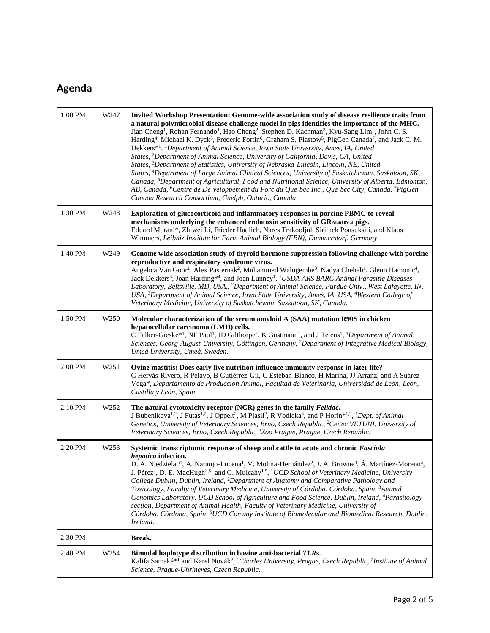# **Agenda**

| 1:00 PM | W247             | Invited Workshop Presentation: Genome-wide association study of disease resilience traits from<br>a natural polymicrobial disease challenge model in pigs identifies the importance of the MHC.<br>Jian Cheng <sup>1</sup> , Rohan Fernando <sup>1</sup> , Hao Cheng <sup>2</sup> , Stephen D. Kachman <sup>3</sup> , Kyu-Sang Lim <sup>1</sup> , John C. S.<br>Harding <sup>4</sup> , Michael K. Dyck <sup>5</sup> , Frederic Fortin <sup>6</sup> , Graham S. Plastow <sup>5</sup> , PigGen Canada <sup>7</sup> , and Jack C. M.<br>Dekkers* <sup>1</sup> , <sup>1</sup> Department of Animal Science, Iowa State University, Ames, IA, United<br>States, <sup>2</sup> Department of Animal Science, University of California, Davis, CA, United<br>States, <sup>3</sup> Department of Statistics, University of Nebraska-Lincoln, Lincoln, NE, United<br>States, <sup>4</sup> Department of Large Animal Clinical Sciences, University of Saskatchewan, Saskatoon, SK,<br>Canada, <sup>5</sup> Department of Agricultural, Food and Nutritional Science, University of Alberta, Edmonton,<br>AB, Canada, <sup>6</sup> Centre de De 'veloppement du Porc du Que 'bec Inc., Que 'bec City, Canada, <sup>7</sup> PigGen<br>Canada Research Consortium, Guelph, Ontario, Canada. |  |  |
|---------|------------------|--------------------------------------------------------------------------------------------------------------------------------------------------------------------------------------------------------------------------------------------------------------------------------------------------------------------------------------------------------------------------------------------------------------------------------------------------------------------------------------------------------------------------------------------------------------------------------------------------------------------------------------------------------------------------------------------------------------------------------------------------------------------------------------------------------------------------------------------------------------------------------------------------------------------------------------------------------------------------------------------------------------------------------------------------------------------------------------------------------------------------------------------------------------------------------------------------------------------------------------------------------------------------------|--|--|
| 1:30 PM | W248             | Exploration of glucocorticoid and inflammatory responses in porcine PBMC to reveal<br>mechanisms underlying the enhanced endotoxin sensitivity of GRAla610Val pigs.<br>Eduard Murani*, Zhiwei Li, Frieder Hadlich, Nares Trakooljul, Siriluck Ponsuksili, and Klaus<br>Wimmers, Leibniz Institute for Farm Animal Biology (FBN), Dummerstorf, Germany.                                                                                                                                                                                                                                                                                                                                                                                                                                                                                                                                                                                                                                                                                                                                                                                                                                                                                                                         |  |  |
| 1:40 PM | W249             | Genome wide association study of thyroid hormone suppression following challenge with porcine<br>reproductive and respiratory syndrome virus.<br>Angelica Van Goor <sup>1</sup> , Alex Pasternak <sup>2</sup> , Muhammed Walugembe <sup>3</sup> , Nadya Chehab <sup>1</sup> , Glenn Hamonic <sup>4</sup> ,<br>Jack Dekkers <sup>3</sup> , Joan Harding <sup>*4</sup> , and Joan Lunney <sup>1</sup> , <sup>1</sup> USDA ARS BARC Animal Parasitic Diseases<br>Laboratory, Beltsville, MD, USA,, <sup>2</sup> Department of Animal Science, Purdue Univ., West Lafayette, IN,<br>USA, <sup>3</sup> Department of Animal Science, Iowa State University, Ames, IA, USA, <sup>4</sup> Western College of<br>Veterinary Medicine, University of Saskatchewan, Saskatoon, SK, Canada.                                                                                                                                                                                                                                                                                                                                                                                                                                                                                               |  |  |
| 1:50 PM | W <sub>250</sub> | Molecular characterization of the serum amyloid A (SAA) mutation R90S in chicken<br>hepatocellular carcinoma (LMH) cells.<br>C Falker-Gieske* <sup>1</sup> , NF Paul <sup>1</sup> , JD Gilthorpe <sup>2</sup> , K Gustmann <sup>1</sup> , and J Tetens <sup>1</sup> , <sup>1</sup> Department of Animal<br>Sciences, Georg-August-University, Göttingen, Germany, <sup>2</sup> Department of Integrative Medical Biology,<br>Umeå University, Umeå, Sweden.                                                                                                                                                                                                                                                                                                                                                                                                                                                                                                                                                                                                                                                                                                                                                                                                                    |  |  |
| 2:00 PM | W <sub>251</sub> | Ovine mastitis: Does early live nutrition influence immunity response in later life?<br>C Hervás-Rivero, R Pelayo, B Gutiérrez-Gil, C Esteban-Blanco, H Marina, JJ Arranz, and A Suárez-<br>Vega*, Departamento de Producción Animal, Facultad de Veterinaria, Universidad de León, León,<br>Castilla y León, Spain.                                                                                                                                                                                                                                                                                                                                                                                                                                                                                                                                                                                                                                                                                                                                                                                                                                                                                                                                                           |  |  |
| 2:10 PM | W <sub>252</sub> | The natural cytotoxicity receptor (NCR) genes in the family Felidae.<br>J Bubenikova <sup>1,2</sup> , J Futas <sup>1,2</sup> , J Oppelt <sup>2</sup> , M Plasil <sup>2</sup> , R Vodicka <sup>3</sup> , and P Horin <sup>*1,2</sup> , <sup>1</sup> Dept. of Animal<br>Genetics, University of Veterinary Sciences, Brno, Czech Republic, <sup>2</sup> Ceitec VETUNI, University of<br>Veterinary Sciences, Brno, Czech Republic, <sup>3</sup> Zoo Prague, Prague, Czech Republic.                                                                                                                                                                                                                                                                                                                                                                                                                                                                                                                                                                                                                                                                                                                                                                                              |  |  |
| 2:20 PM | W <sub>253</sub> | Systemic transcriptomic response of sheep and cattle to acute and chronic Fasciola<br>hepatica infection.<br>D. A. Niedziela* <sup>1</sup> , A. Naranjo-Lucena <sup>1</sup> , V. Molina-Hernández <sup>2</sup> , J. A. Browne <sup>3</sup> , Á. Martínez-Moreno <sup>4</sup> ,<br>J. Pérez <sup>2</sup> , D. E. MacHugh <sup>3,5</sup> , and G. Mulcahy <sup>1,5</sup> , <sup>1</sup> UCD School of Veterinary Medicine, University<br>College Dublin, Dublin, Ireland, <sup>2</sup> Department of Anatomy and Comparative Pathology and<br>Toxicology, Faculty of Veterinary Medicine, University of Córdoba, Córdoba, Spain, 3Animal<br>Genomics Laboratory, UCD School of Agriculture and Food Science, Dublin, Ireland, <sup>4</sup> Parasitology<br>section, Department of Animal Health, Faculty of Veterinary Medicine, University of<br>Córdoba, Córdoba, Spain, <sup>5</sup> UCD Conway Institute of Biomolecular and Biomedical Research, Dublin,<br>Ireland.                                                                                                                                                                                                                                                                                                        |  |  |
| 2:30 PM |                  | Break.                                                                                                                                                                                                                                                                                                                                                                                                                                                                                                                                                                                                                                                                                                                                                                                                                                                                                                                                                                                                                                                                                                                                                                                                                                                                         |  |  |
| 2:40 PM | W <sub>254</sub> | Bimodal haplotype distribution in bovine anti-bacterial TLRs.<br>Kalifa Samaké* <sup>1</sup> and Karel Novák <sup>2</sup> , <sup>1</sup> Charles University, Prague, Czech Republic, <sup>2</sup> Institute of Animal<br>Science, Prague-Uhrineves, Czech Republic.                                                                                                                                                                                                                                                                                                                                                                                                                                                                                                                                                                                                                                                                                                                                                                                                                                                                                                                                                                                                            |  |  |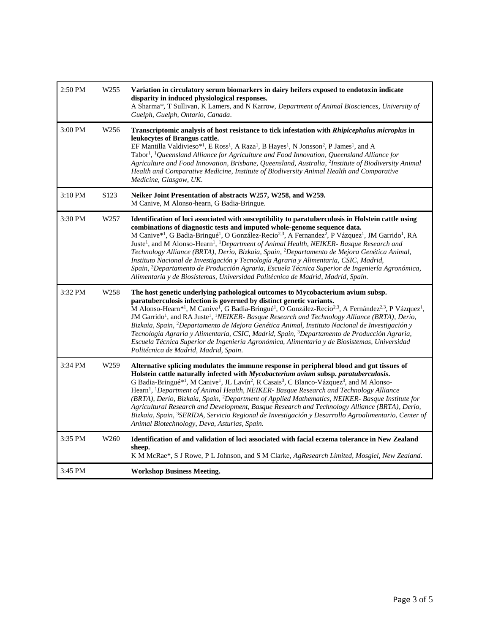| 2:50 PM | W <sub>255</sub> | Variation in circulatory serum biomarkers in dairy heifers exposed to endotoxin indicate<br>disparity in induced physiological responses.<br>A Sharma*, T Sullivan, K Lamers, and N Karrow, Department of Animal Biosciences, University of<br>Guelph, Guelph, Ontario, Canada.                                                                                                                                                                                                                                                                                                                                                                                                                                                                                                                                                                                                                   |  |  |
|---------|------------------|---------------------------------------------------------------------------------------------------------------------------------------------------------------------------------------------------------------------------------------------------------------------------------------------------------------------------------------------------------------------------------------------------------------------------------------------------------------------------------------------------------------------------------------------------------------------------------------------------------------------------------------------------------------------------------------------------------------------------------------------------------------------------------------------------------------------------------------------------------------------------------------------------|--|--|
| 3:00 PM | W <sub>256</sub> | Transcriptomic analysis of host resistance to tick infestation with Rhipicephalus microplus in<br>leukocytes of Brangus cattle.<br>EF Mantilla Valdivieso*1, E Ross <sup>1</sup> , A Raza <sup>1</sup> , B Hayes <sup>1</sup> , N Jonsson <sup>2</sup> , P James <sup>1</sup> , and A<br>Tabor <sup>1</sup> , <sup>1</sup> Queensland Alliance for Agriculture and Food Innovation, Queensland Alliance for<br>Agriculture and Food Innovation, Brisbane, Queensland, Australia, <sup>2</sup> Institute of Biodiversity Animal<br>Health and Comparative Medicine, Institute of Biodiversity Animal Health and Comparative<br>Medicine, Glasgow, UK.                                                                                                                                                                                                                                              |  |  |
| 3:10 PM | S <sub>123</sub> | Neiker Joint Presentation of abstracts W257, W258, and W259.<br>M Canive, M Alonso-hearn, G Badia-Bringue.                                                                                                                                                                                                                                                                                                                                                                                                                                                                                                                                                                                                                                                                                                                                                                                        |  |  |
| 3:30 PM | W <sub>257</sub> | Identification of loci associated with susceptibility to paratuberculosis in Holstein cattle using<br>combinations of diagnostic tests and imputed whole-genome sequence data.<br>M Canive* <sup>1</sup> , G Badia-Bringué <sup>1</sup> , O González-Recio <sup>2,3</sup> , A Fernandez <sup>2</sup> , P Vázquez <sup>1</sup> , JM Garrido <sup>1</sup> , RA<br>Juste <sup>1</sup> , and M Alonso-Hearn <sup>1</sup> , <sup>1</sup> Department of Animal Health, NEIKER- Basque Research and<br>Technology Alliance (BRTA), Derio, Bizkaia, Spain, <sup>2</sup> Departamento de Mejora Genética Animal,<br>Instituto Nacional de Investigación y Tecnología Agraria y Alimentaria, CSIC, Madrid,<br>Spain, <sup>3</sup> Departamento de Producción Agraria, Escuela Técnica Superior de Ingeniería Agronómica,<br>Alimentaria y de Biosistemas, Universidad Politécnica de Madrid, Madrid, Spain. |  |  |
| 3:32 PM | W <sub>258</sub> | The host genetic underlying pathological outcomes to Mycobacterium avium subsp.<br>paratuberculosis infection is governed by distinct genetic variants.<br>M Alonso-Hearn* <sup>1</sup> , M Canive <sup>1</sup> , G Badia-Bringué <sup>1</sup> , O González-Recio <sup>2,3</sup> , A Fernández <sup>2,3</sup> , P Vázquez <sup>1</sup> ,<br>JM Garrido <sup>1</sup> , and RA Juste <sup>1</sup> , <sup>1</sup> NEIKER- Basque Research and Technology Alliance (BRTA), Derio,<br>Bizkaia, Spain, <sup>2</sup> Departamento de Mejora Genética Animal, Instituto Nacional de Investigación y<br>Tecnología Agraria y Alimentaria, CSIC, Madrid, Spain, <sup>3</sup> Departamento de Producción Agraria,<br>Escuela Técnica Superior de Ingeniería Agronómica, Alimentaria y de Biosistemas, Universidad<br>Politécnica de Madrid, Madrid, Spain.                                                   |  |  |
| 3:34 PM | W <sub>259</sub> | Alternative splicing modulates the immune response in peripheral blood and gut tissues of<br>Holstein cattle naturally infected with Mycobacterium avium subsp. paratuberculosis.<br>G Badia-Bringué* <sup>1</sup> , M Canive <sup>1</sup> , JL Lavín <sup>2</sup> , R Casais <sup>3</sup> , C Blanco-Vázquez <sup>3</sup> , and M Alonso-<br>Hearn <sup>1</sup> , <sup>1</sup> Department of Animal Health, NEIKER- Basque Research and Technology Alliance<br>(BRTA), Derio, Bizkaia, Spain, <sup>2</sup> Department of Applied Mathematics, NEIKER- Basque Institute for<br>Agricultural Research and Development, Basque Research and Technology Alliance (BRTA), Derio,<br>Bizkaia, Spain, <sup>3</sup> SERIDA, Servicio Regional de Investigación y Desarrollo Agroalimentario, Center of<br>Animal Biotechnology, Deva, Asturias, Spain.                                                   |  |  |
| 3:35 PM | W <sub>260</sub> | Identification of and validation of loci associated with facial eczema tolerance in New Zealand<br>sheep.<br>K M McRae*, S J Rowe, P L Johnson, and S M Clarke, AgResearch Limited, Mosgiel, New Zealand.                                                                                                                                                                                                                                                                                                                                                                                                                                                                                                                                                                                                                                                                                         |  |  |
| 3:45 PM |                  | <b>Workshop Business Meeting.</b>                                                                                                                                                                                                                                                                                                                                                                                                                                                                                                                                                                                                                                                                                                                                                                                                                                                                 |  |  |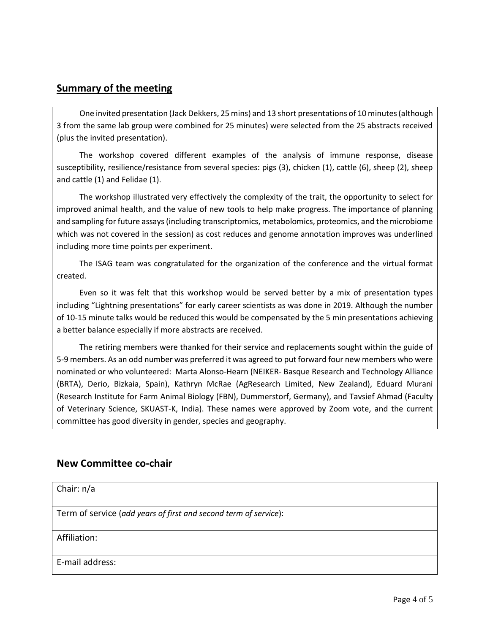### **Summary of the meeting**

One invited presentation (Jack Dekkers, 25 mins) and 13 short presentations of 10 minutes (although 3 from the same lab group were combined for 25 minutes) were selected from the 25 abstracts received (plus the invited presentation).

The workshop covered different examples of the analysis of immune response, disease susceptibility, resilience/resistance from several species: pigs (3), chicken (1), cattle (6), sheep (2), sheep and cattle (1) and Felidae (1).

The workshop illustrated very effectively the complexity of the trait, the opportunity to select for improved animal health, and the value of new tools to help make progress. The importance of planning and sampling for future assays (including transcriptomics, metabolomics, proteomics, and the microbiome which was not covered in the session) as cost reduces and genome annotation improves was underlined including more time points per experiment.

The ISAG team was congratulated for the organization of the conference and the virtual format created.

Even so it was felt that this workshop would be served better by a mix of presentation types including "Lightning presentations" for early career scientists as was done in 2019. Although the number of 10-15 minute talks would be reduced this would be compensated by the 5 min presentations achieving a better balance especially if more abstracts are received.

The retiring members were thanked for their service and replacements sought within the guide of 5-9 members. As an odd number was preferred it was agreed to put forward four new members who were nominated or who volunteered: Marta Alonso-Hearn (NEIKER- Basque Research and Technology Alliance (BRTA), Derio, Bizkaia, Spain), Kathryn McRae (AgResearch Limited, New Zealand), Eduard Murani (Research Institute for Farm Animal Biology (FBN), Dummerstorf, Germany), and Tavsief Ahmad (Faculty of Veterinary Science, SKUAST-K, India). These names were approved by Zoom vote, and the current committee has good diversity in gender, species and geography.

### **New Committee co-chair**

Chair: n/a Term of service (*add years of first and second term of service*): Affiliation: E-mail address: